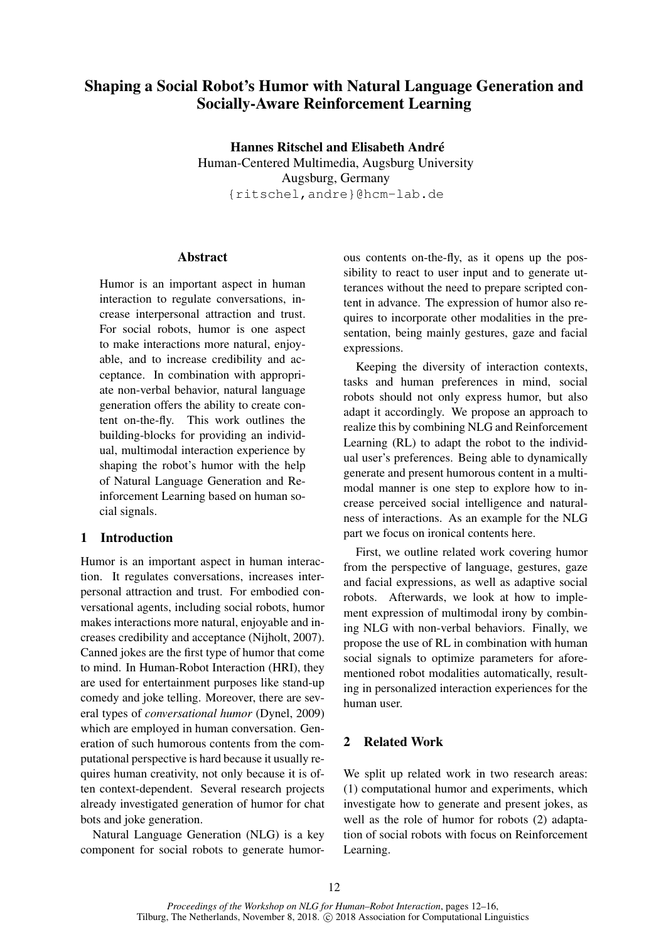# Shaping a Social Robot's Humor with Natural Language Generation and Socially-Aware Reinforcement Learning

Hannes Ritschel and Elisabeth André Human-Centered Multimedia, Augsburg University Augsburg, Germany {ritschel,andre}@hcm-lab.de

## Abstract

Humor is an important aspect in human interaction to regulate conversations, increase interpersonal attraction and trust. For social robots, humor is one aspect to make interactions more natural, enjoyable, and to increase credibility and acceptance. In combination with appropriate non-verbal behavior, natural language generation offers the ability to create content on-the-fly. This work outlines the building-blocks for providing an individual, multimodal interaction experience by shaping the robot's humor with the help of Natural Language Generation and Reinforcement Learning based on human social signals.

# 1 Introduction

Humor is an important aspect in human interaction. It regulates conversations, increases interpersonal attraction and trust. For embodied conversational agents, including social robots, humor makes interactions more natural, enjoyable and increases credibility and acceptance (Nijholt, 2007). Canned jokes are the first type of humor that come to mind. In Human-Robot Interaction (HRI), they are used for entertainment purposes like stand-up comedy and joke telling. Moreover, there are several types of *conversational humor* (Dynel, 2009) which are employed in human conversation. Generation of such humorous contents from the computational perspective is hard because it usually requires human creativity, not only because it is often context-dependent. Several research projects already investigated generation of humor for chat bots and joke generation.

Natural Language Generation (NLG) is a key component for social robots to generate humor-

ous contents on-the-fly, as it opens up the possibility to react to user input and to generate utterances without the need to prepare scripted content in advance. The expression of humor also requires to incorporate other modalities in the presentation, being mainly gestures, gaze and facial expressions.

Keeping the diversity of interaction contexts, tasks and human preferences in mind, social robots should not only express humor, but also adapt it accordingly. We propose an approach to realize this by combining NLG and Reinforcement Learning (RL) to adapt the robot to the individual user's preferences. Being able to dynamically generate and present humorous content in a multimodal manner is one step to explore how to increase perceived social intelligence and naturalness of interactions. As an example for the NLG part we focus on ironical contents here.

First, we outline related work covering humor from the perspective of language, gestures, gaze and facial expressions, as well as adaptive social robots. Afterwards, we look at how to implement expression of multimodal irony by combining NLG with non-verbal behaviors. Finally, we propose the use of RL in combination with human social signals to optimize parameters for aforementioned robot modalities automatically, resulting in personalized interaction experiences for the human user.

## 2 Related Work

We split up related work in two research areas: (1) computational humor and experiments, which investigate how to generate and present jokes, as well as the role of humor for robots (2) adaptation of social robots with focus on Reinforcement Learning.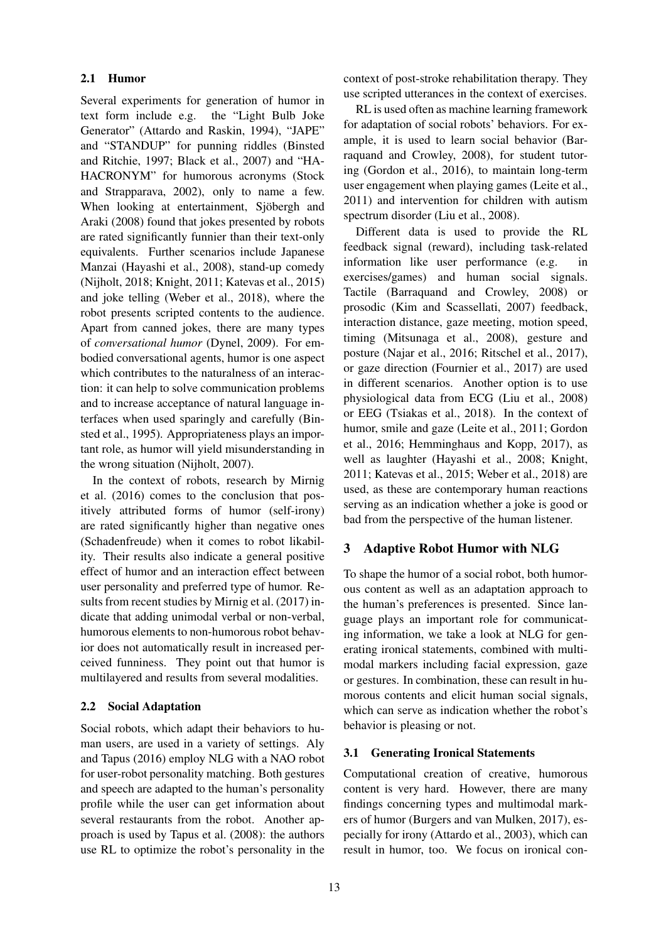## 2.1 Humor

Several experiments for generation of humor in text form include e.g. the "Light Bulb Joke Generator" (Attardo and Raskin, 1994), "JAPE" and "STANDUP" for punning riddles (Binsted and Ritchie, 1997; Black et al., 2007) and "HA-HACRONYM" for humorous acronyms (Stock and Strapparava, 2002), only to name a few. When looking at entertainment, Sjöbergh and Araki (2008) found that jokes presented by robots are rated significantly funnier than their text-only equivalents. Further scenarios include Japanese Manzai (Hayashi et al., 2008), stand-up comedy (Nijholt, 2018; Knight, 2011; Katevas et al., 2015) and joke telling (Weber et al., 2018), where the robot presents scripted contents to the audience. Apart from canned jokes, there are many types of *conversational humor* (Dynel, 2009). For embodied conversational agents, humor is one aspect which contributes to the naturalness of an interaction: it can help to solve communication problems and to increase acceptance of natural language interfaces when used sparingly and carefully (Binsted et al., 1995). Appropriateness plays an important role, as humor will yield misunderstanding in the wrong situation (Nijholt, 2007).

In the context of robots, research by Mirnig et al. (2016) comes to the conclusion that positively attributed forms of humor (self-irony) are rated significantly higher than negative ones (Schadenfreude) when it comes to robot likability. Their results also indicate a general positive effect of humor and an interaction effect between user personality and preferred type of humor. Results from recent studies by Mirnig et al. (2017) indicate that adding unimodal verbal or non-verbal, humorous elements to non-humorous robot behavior does not automatically result in increased perceived funniness. They point out that humor is multilayered and results from several modalities.

### 2.2 Social Adaptation

Social robots, which adapt their behaviors to human users, are used in a variety of settings. Aly and Tapus (2016) employ NLG with a NAO robot for user-robot personality matching. Both gestures and speech are adapted to the human's personality profile while the user can get information about several restaurants from the robot. Another approach is used by Tapus et al. (2008): the authors use RL to optimize the robot's personality in the context of post-stroke rehabilitation therapy. They use scripted utterances in the context of exercises.

RL is used often as machine learning framework for adaptation of social robots' behaviors. For example, it is used to learn social behavior (Barraquand and Crowley, 2008), for student tutoring (Gordon et al., 2016), to maintain long-term user engagement when playing games (Leite et al., 2011) and intervention for children with autism spectrum disorder (Liu et al., 2008).

Different data is used to provide the RL feedback signal (reward), including task-related information like user performance (e.g. in exercises/games) and human social signals. Tactile (Barraquand and Crowley, 2008) or prosodic (Kim and Scassellati, 2007) feedback, interaction distance, gaze meeting, motion speed, timing (Mitsunaga et al., 2008), gesture and posture (Najar et al., 2016; Ritschel et al., 2017), or gaze direction (Fournier et al., 2017) are used in different scenarios. Another option is to use physiological data from ECG (Liu et al., 2008) or EEG (Tsiakas et al., 2018). In the context of humor, smile and gaze (Leite et al., 2011; Gordon et al., 2016; Hemminghaus and Kopp, 2017), as well as laughter (Hayashi et al., 2008; Knight, 2011; Katevas et al., 2015; Weber et al., 2018) are used, as these are contemporary human reactions serving as an indication whether a joke is good or bad from the perspective of the human listener.

## 3 Adaptive Robot Humor with NLG

To shape the humor of a social robot, both humorous content as well as an adaptation approach to the human's preferences is presented. Since language plays an important role for communicating information, we take a look at NLG for generating ironical statements, combined with multimodal markers including facial expression, gaze or gestures. In combination, these can result in humorous contents and elicit human social signals, which can serve as indication whether the robot's behavior is pleasing or not.

### 3.1 Generating Ironical Statements

Computational creation of creative, humorous content is very hard. However, there are many findings concerning types and multimodal markers of humor (Burgers and van Mulken, 2017), especially for irony (Attardo et al., 2003), which can result in humor, too. We focus on ironical con-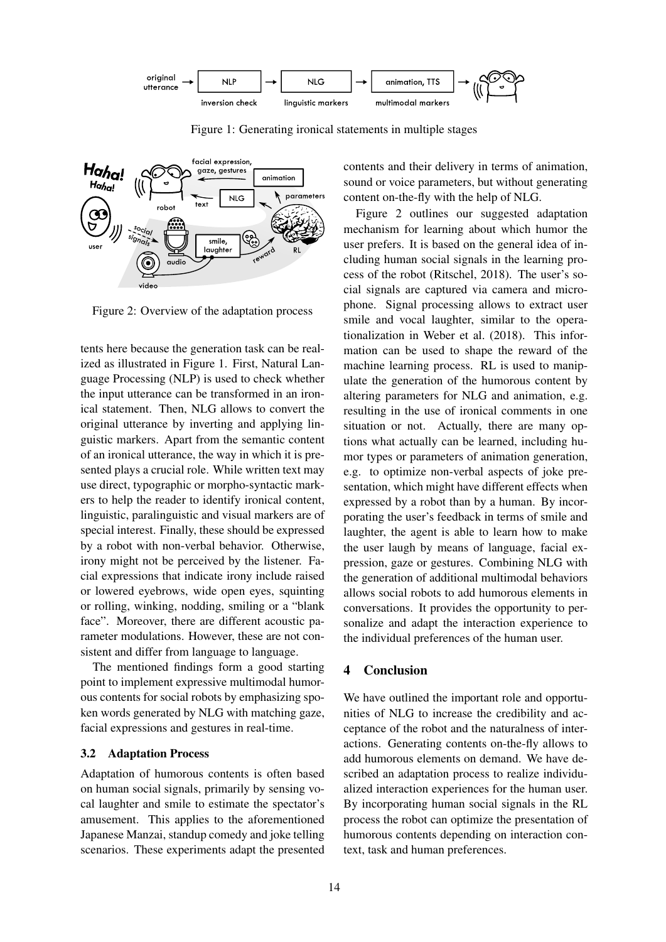

Figure 1: Generating ironical statements in multiple stages



Figure 2: Overview of the adaptation process

tents here because the generation task can be realized as illustrated in Figure 1. First, Natural Language Processing (NLP) is used to check whether the input utterance can be transformed in an ironical statement. Then, NLG allows to convert the original utterance by inverting and applying linguistic markers. Apart from the semantic content of an ironical utterance, the way in which it is presented plays a crucial role. While written text may use direct, typographic or morpho-syntactic markers to help the reader to identify ironical content, linguistic, paralinguistic and visual markers are of special interest. Finally, these should be expressed by a robot with non-verbal behavior. Otherwise, irony might not be perceived by the listener. Facial expressions that indicate irony include raised or lowered eyebrows, wide open eyes, squinting or rolling, winking, nodding, smiling or a "blank face". Moreover, there are different acoustic parameter modulations. However, these are not consistent and differ from language to language.

The mentioned findings form a good starting point to implement expressive multimodal humorous contents for social robots by emphasizing spoken words generated by NLG with matching gaze, facial expressions and gestures in real-time.

## 3.2 Adaptation Process

Adaptation of humorous contents is often based on human social signals, primarily by sensing vocal laughter and smile to estimate the spectator's amusement. This applies to the aforementioned Japanese Manzai, standup comedy and joke telling scenarios. These experiments adapt the presented contents and their delivery in terms of animation, sound or voice parameters, but without generating content on-the-fly with the help of NLG.

Figure 2 outlines our suggested adaptation mechanism for learning about which humor the user prefers. It is based on the general idea of including human social signals in the learning process of the robot (Ritschel, 2018). The user's social signals are captured via camera and microphone. Signal processing allows to extract user smile and vocal laughter, similar to the operationalization in Weber et al. (2018). This information can be used to shape the reward of the machine learning process. RL is used to manipulate the generation of the humorous content by altering parameters for NLG and animation, e.g. resulting in the use of ironical comments in one situation or not. Actually, there are many options what actually can be learned, including humor types or parameters of animation generation, e.g. to optimize non-verbal aspects of joke presentation, which might have different effects when expressed by a robot than by a human. By incorporating the user's feedback in terms of smile and laughter, the agent is able to learn how to make the user laugh by means of language, facial expression, gaze or gestures. Combining NLG with the generation of additional multimodal behaviors allows social robots to add humorous elements in conversations. It provides the opportunity to personalize and adapt the interaction experience to the individual preferences of the human user.

## 4 Conclusion

We have outlined the important role and opportunities of NLG to increase the credibility and acceptance of the robot and the naturalness of interactions. Generating contents on-the-fly allows to add humorous elements on demand. We have described an adaptation process to realize individualized interaction experiences for the human user. By incorporating human social signals in the RL process the robot can optimize the presentation of humorous contents depending on interaction context, task and human preferences.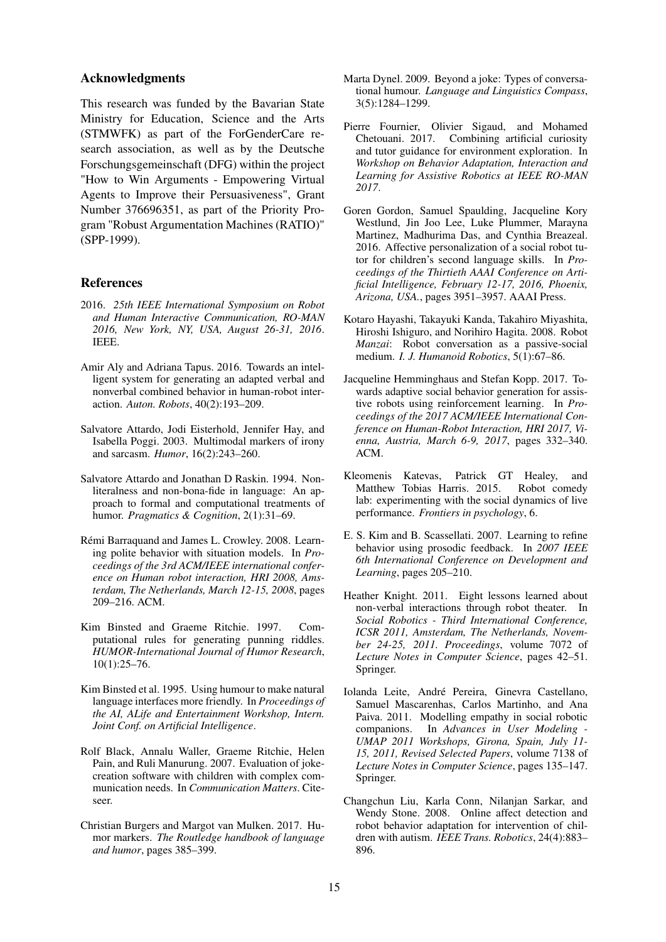#### Acknowledgments

This research was funded by the Bavarian State Ministry for Education, Science and the Arts (STMWFK) as part of the ForGenderCare research association, as well as by the Deutsche Forschungsgemeinschaft (DFG) within the project "How to Win Arguments - Empowering Virtual Agents to Improve their Persuasiveness", Grant Number 376696351, as part of the Priority Program "Robust Argumentation Machines (RATIO)" (SPP-1999).

## References

- 2016. *25th IEEE International Symposium on Robot and Human Interactive Communication, RO-MAN 2016, New York, NY, USA, August 26-31, 2016*. IEEE.
- Amir Aly and Adriana Tapus. 2016. Towards an intelligent system for generating an adapted verbal and nonverbal combined behavior in human-robot interaction. *Auton. Robots*, 40(2):193–209.
- Salvatore Attardo, Jodi Eisterhold, Jennifer Hay, and Isabella Poggi. 2003. Multimodal markers of irony and sarcasm. *Humor*, 16(2):243–260.
- Salvatore Attardo and Jonathan D Raskin. 1994. Nonliteralness and non-bona-fide in language: An approach to formal and computational treatments of humor. *Pragmatics & Cognition*, 2(1):31–69.
- Rémi Barraquand and James L. Crowley. 2008. Learning polite behavior with situation models. In *Proceedings of the 3rd ACM/IEEE international conference on Human robot interaction, HRI 2008, Amsterdam, The Netherlands, March 12-15, 2008*, pages 209–216. ACM.
- Kim Binsted and Graeme Ritchie. 1997. Computational rules for generating punning riddles. *HUMOR-International Journal of Humor Research*, 10(1):25–76.
- Kim Binsted et al. 1995. Using humour to make natural language interfaces more friendly. In *Proceedings of the AI, ALife and Entertainment Workshop, Intern. Joint Conf. on Artificial Intelligence*.
- Rolf Black, Annalu Waller, Graeme Ritchie, Helen Pain, and Ruli Manurung. 2007. Evaluation of jokecreation software with children with complex communication needs. In *Communication Matters*. Citeseer.
- Christian Burgers and Margot van Mulken. 2017. Humor markers. *The Routledge handbook of language and humor*, pages 385–399.
- Marta Dynel. 2009. Beyond a joke: Types of conversational humour. *Language and Linguistics Compass*, 3(5):1284–1299.
- Pierre Fournier, Olivier Sigaud, and Mohamed Chetouani. 2017. Combining artificial curiosity and tutor guidance for environment exploration. In *Workshop on Behavior Adaptation, Interaction and Learning for Assistive Robotics at IEEE RO-MAN 2017*.
- Goren Gordon, Samuel Spaulding, Jacqueline Kory Westlund, Jin Joo Lee, Luke Plummer, Marayna Martinez, Madhurima Das, and Cynthia Breazeal. 2016. Affective personalization of a social robot tutor for children's second language skills. In *Proceedings of the Thirtieth AAAI Conference on Artificial Intelligence, February 12-17, 2016, Phoenix, Arizona, USA.*, pages 3951–3957. AAAI Press.
- Kotaro Hayashi, Takayuki Kanda, Takahiro Miyashita, Hiroshi Ishiguro, and Norihiro Hagita. 2008. Robot *Manzai*: Robot conversation as a passive-social medium. *I. J. Humanoid Robotics*, 5(1):67–86.
- Jacqueline Hemminghaus and Stefan Kopp. 2017. Towards adaptive social behavior generation for assistive robots using reinforcement learning. In *Proceedings of the 2017 ACM/IEEE International Conference on Human-Robot Interaction, HRI 2017, Vienna, Austria, March 6-9, 2017*, pages 332–340. ACM.
- Kleomenis Katevas, Patrick GT Healey, and Matthew Tobias Harris. 2015. Robot comedy lab: experimenting with the social dynamics of live performance. *Frontiers in psychology*, 6.
- E. S. Kim and B. Scassellati. 2007. Learning to refine behavior using prosodic feedback. In *2007 IEEE 6th International Conference on Development and Learning*, pages 205–210.
- Heather Knight. 2011. Eight lessons learned about non-verbal interactions through robot theater. In *Social Robotics - Third International Conference, ICSR 2011, Amsterdam, The Netherlands, November 24-25, 2011. Proceedings*, volume 7072 of *Lecture Notes in Computer Science*, pages 42–51. Springer.
- Iolanda Leite, André Pereira, Ginevra Castellano, Samuel Mascarenhas, Carlos Martinho, and Ana Paiva. 2011. Modelling empathy in social robotic companions. In *Advances in User Modeling - UMAP 2011 Workshops, Girona, Spain, July 11- 15, 2011, Revised Selected Papers*, volume 7138 of *Lecture Notes in Computer Science*, pages 135–147. Springer.
- Changchun Liu, Karla Conn, Nilanjan Sarkar, and Wendy Stone. 2008. Online affect detection and robot behavior adaptation for intervention of children with autism. *IEEE Trans. Robotics*, 24(4):883– 896.